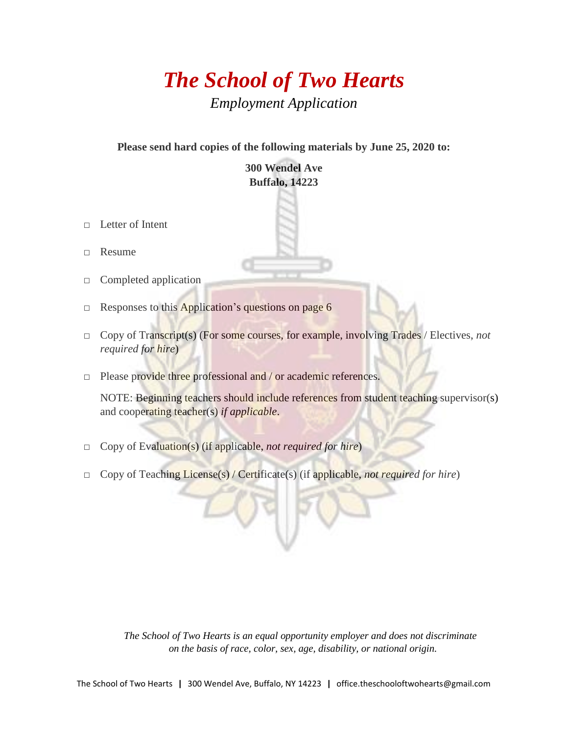# *The School of Two Hearts Employment Application*

**Please send hard copies of the following materials by June 25, 2020 to:**

#### **300 Wendel Ave Buffalo, 14223**

- □ Letter of Intent
- □ Resume
- □ Completed application
- □ Responses to this Application's questions on page 6
- □ Copy of Transcript(s) (For some courses, for example, involving Trades / Electives, *not required for hire*)
- □ Please provide three professional and / or academic references.

NOTE: Beginning teachers should include references from student teaching supervisor(s) and cooperating teacher(s) *if applicable*.

- □ Copy of Evaluation(s) (if applicable, *not required for hire*)
- □ Copy of Teaching License(s) / Certificate(s) (if applicable, *not required for hire*)

*The School of Two Hearts is an equal opportunity employer and does not discriminate on the basis of race, color, sex, age, disability, or national origin.*

The School of Two Hearts **ǀ** 300 Wendel Ave, Buffalo, NY 14223 **ǀ** office.theschooloftwohearts@gmail.com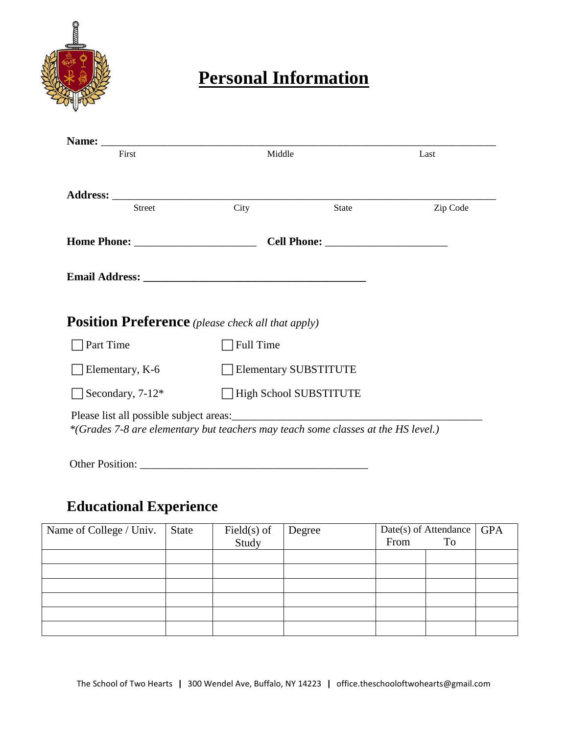

# **Personal Information**

| First                                                                             | Middle                        | Last         |          |  |
|-----------------------------------------------------------------------------------|-------------------------------|--------------|----------|--|
|                                                                                   |                               |              |          |  |
| <b>Street</b>                                                                     | City                          | <b>State</b> | Zip Code |  |
|                                                                                   |                               |              |          |  |
|                                                                                   |                               |              |          |  |
|                                                                                   |                               |              |          |  |
| <b>Position Preference</b> (please check all that apply)                          |                               |              |          |  |
| Part Time                                                                         | Full Time                     |              |          |  |
| Elementary, K-6                                                                   | <b>Elementary SUBSTITUTE</b>  |              |          |  |
| Secondary, 7-12*                                                                  | <b>High School SUBSTITUTE</b> |              |          |  |
| *(Grades 7-8 are elementary but teachers may teach some classes at the HS level.) |                               |              |          |  |

Other Position: \_\_\_\_\_\_\_\_\_\_\_\_\_\_\_\_\_\_\_\_\_\_\_\_\_\_\_\_\_\_\_\_\_\_\_\_\_\_\_\_\_

### **Educational Experience**

| Name of College / Univ. | <b>State</b> | $Field(s)$ of | Degree | Date(s) of Attendance |    | <b>GPA</b> |
|-------------------------|--------------|---------------|--------|-----------------------|----|------------|
|                         |              | Study         |        | From                  | To |            |
|                         |              |               |        |                       |    |            |
|                         |              |               |        |                       |    |            |
|                         |              |               |        |                       |    |            |
|                         |              |               |        |                       |    |            |
|                         |              |               |        |                       |    |            |
|                         |              |               |        |                       |    |            |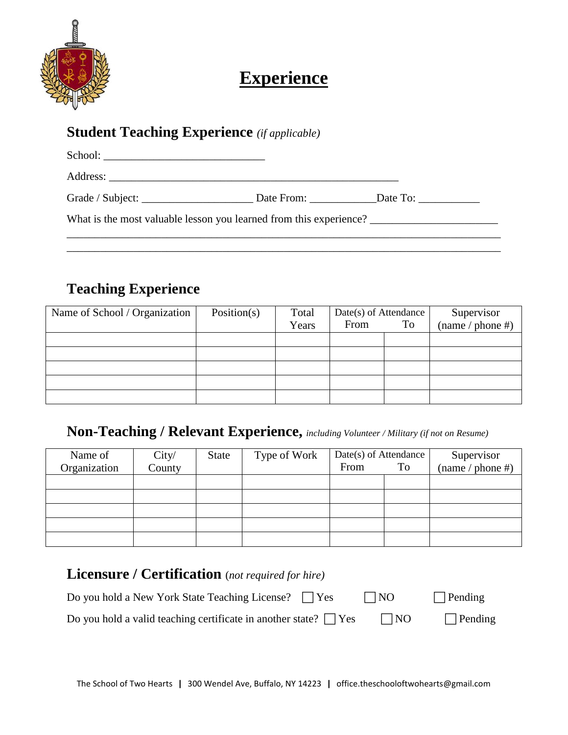

## **Experience**

#### **Student Teaching Experience** *(if applicable)*

|  | Grade / Subject: Date From: Date To: Date To: |  |  |  |  |  |
|--|-----------------------------------------------|--|--|--|--|--|
|  |                                               |  |  |  |  |  |

\_\_\_\_\_\_\_\_\_\_\_\_\_\_\_\_\_\_\_\_\_\_\_\_\_\_\_\_\_\_\_\_\_\_\_\_\_\_\_\_\_\_\_\_\_\_\_\_\_\_\_\_\_\_\_\_\_\_\_\_\_\_\_\_\_\_\_\_\_\_\_\_\_\_\_\_\_\_

### **Teaching Experience**

| Name of School / Organization | Position(s) | Total | Date(s) of Attendance |    | Supervisor       |
|-------------------------------|-------------|-------|-----------------------|----|------------------|
|                               |             | Years | From                  | To | (name / phone #) |
|                               |             |       |                       |    |                  |
|                               |             |       |                       |    |                  |
|                               |             |       |                       |    |                  |
|                               |             |       |                       |    |                  |
|                               |             |       |                       |    |                  |

#### **Non-Teaching / Relevant Experience,** *including Volunteer / Military (if not on Resume)*

| Name of      | City/  | <b>State</b> | Type of Work | Date(s) of Attendance |    | Supervisor       |
|--------------|--------|--------------|--------------|-----------------------|----|------------------|
| Organization | County |              |              | From                  | To | (name / phone #) |
|              |        |              |              |                       |    |                  |
|              |        |              |              |                       |    |                  |
|              |        |              |              |                       |    |                  |
|              |        |              |              |                       |    |                  |
|              |        |              |              |                       |    |                  |

### **Licensure / Certification** (*not required for hire)* Do you hold a New York State Teaching License?  $\Box$  Yes  $\Box$  NO  $\Box$  Pending Do you hold a valid teaching certificate in another state?  $\Box$  Yes  $\Box$  NO  $\Box$  Pending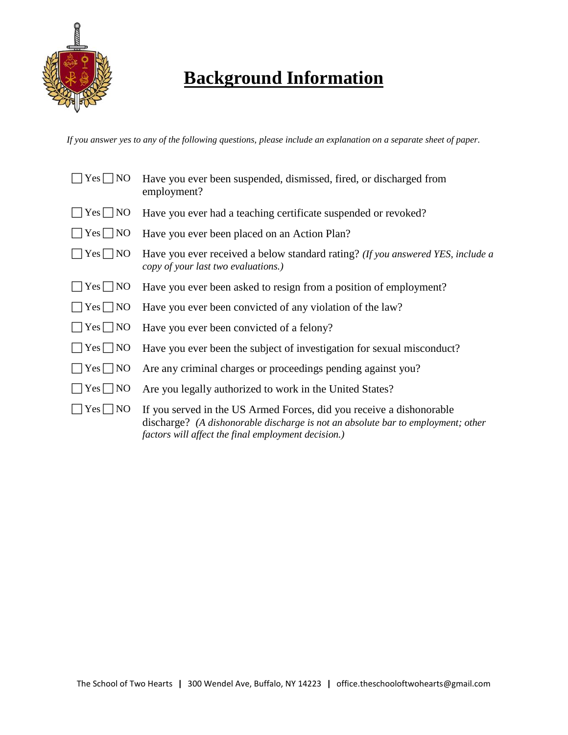

# **Background Information**

*If you answer yes to any of the following questions, please include an explanation on a separate sheet of paper.*

| $\overline{\rm{N}}$<br>Yes | Have you ever been suspended, dismissed, fired, or discharged from<br>employment?                                                                                                                               |
|----------------------------|-----------------------------------------------------------------------------------------------------------------------------------------------------------------------------------------------------------------|
| $Yes \Box NO$              | Have you ever had a teaching certificate suspended or revoked?                                                                                                                                                  |
| $\bigcap$ Yes $\bigcap$ NO | Have you ever been placed on an Action Plan?                                                                                                                                                                    |
| $Yes \Box NO$              | Have you ever received a below standard rating? (If you answered YES, include a<br>copy of your last two evaluations.)                                                                                          |
| $\Box$ Yes $\Box$ NO       | Have you ever been asked to resign from a position of employment?                                                                                                                                               |
| $Yes \Box NO$              | Have you ever been convicted of any violation of the law?                                                                                                                                                       |
| $\Box$ Yes $\Box$ NO       | Have you ever been convicted of a felony?                                                                                                                                                                       |
| $\Box$ Yes $\Box$ NO       | Have you ever been the subject of investigation for sexual misconduct?                                                                                                                                          |
| $\Box$ Yes $\Box$ NO       | Are any criminal charges or proceedings pending against you?                                                                                                                                                    |
| $\Box$ Yes $\Box$ NO       | Are you legally authorized to work in the United States?                                                                                                                                                        |
| $Yes \Box NO$              | If you served in the US Armed Forces, did you receive a dishonorable<br>discharge? (A dishonorable discharge is not an absolute bar to employment; other<br>factors will affect the final employment decision.) |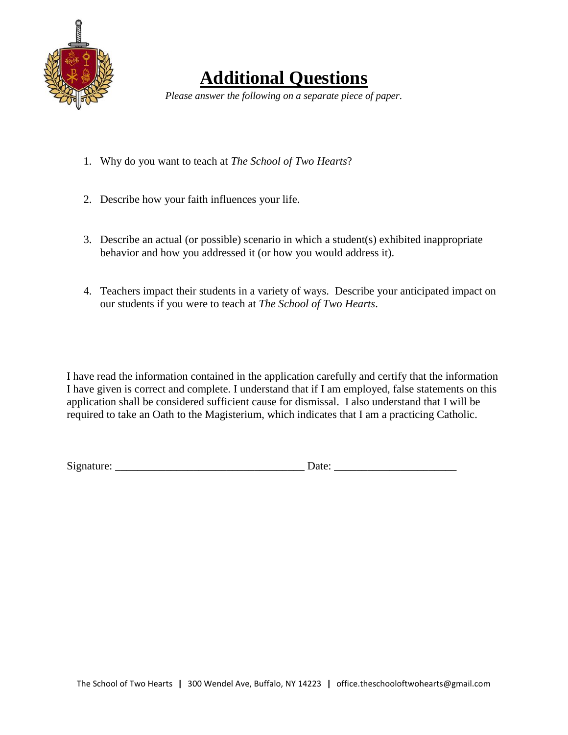

### **Additional Questions**

*Please answer the following on a separate piece of paper.*

- 1. Why do you want to teach at *The School of Two Hearts*?
- 2. Describe how your faith influences your life.
- 3. Describe an actual (or possible) scenario in which a student(s) exhibited inappropriate behavior and how you addressed it (or how you would address it).
- 4. Teachers impact their students in a variety of ways. Describe your anticipated impact on our students if you were to teach at *The School of Two Hearts*.

I have read the information contained in the application carefully and certify that the information I have given is correct and complete. I understand that if I am employed, false statements on this application shall be considered sufficient cause for dismissal. I also understand that I will be required to take an Oath to the Magisterium, which indicates that I am a practicing Catholic.

Signature:  $\Box$